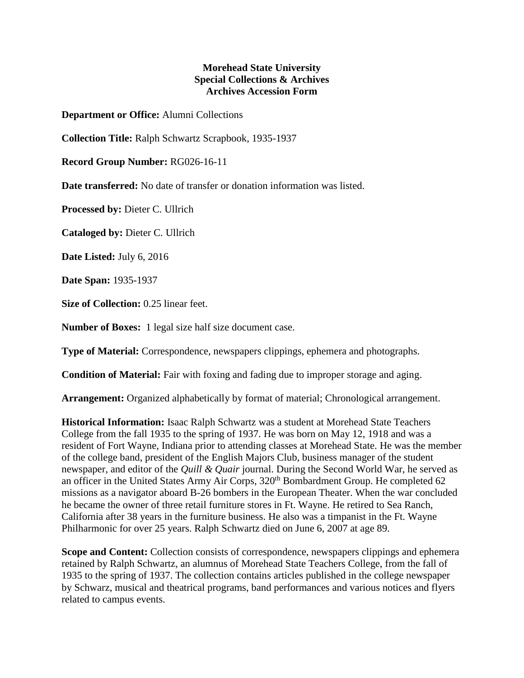## **Morehead State University Special Collections & Archives Archives Accession Form**

**Department or Office:** Alumni Collections

**Collection Title:** Ralph Schwartz Scrapbook, 1935-1937

**Record Group Number:** RG026-16-11

**Date transferred:** No date of transfer or donation information was listed.

**Processed by:** Dieter C. Ullrich

**Cataloged by:** Dieter C. Ullrich

**Date Listed:** July 6, 2016

**Date Span:** 1935-1937

**Size of Collection:** 0.25 linear feet.

**Number of Boxes:** 1 legal size half size document case.

**Type of Material:** Correspondence, newspapers clippings, ephemera and photographs.

**Condition of Material:** Fair with foxing and fading due to improper storage and aging.

**Arrangement:** Organized alphabetically by format of material; Chronological arrangement.

**Historical Information:** Isaac Ralph Schwartz was a student at Morehead State Teachers College from the fall 1935 to the spring of 1937. He was born on May 12, 1918 and was a resident of Fort Wayne, Indiana prior to attending classes at Morehead State. He was the member of the college band, president of the English Majors Club, business manager of the student newspaper, and editor of the *Quill & Quair* journal. During the Second World War, he served as an officer in the United States Army Air Corps, 320<sup>th</sup> Bombardment Group. He completed 62 missions as a navigator aboard B-26 bombers in the European Theater. When the war concluded he became the owner of three retail furniture stores in Ft. Wayne. He retired to Sea Ranch, California after 38 years in the furniture business. He also was a timpanist in the Ft. Wayne Philharmonic for over 25 years. Ralph Schwartz died on June 6, 2007 at age 89.

**Scope and Content:** Collection consists of correspondence, newspapers clippings and ephemera retained by Ralph Schwartz, an alumnus of Morehead State Teachers College, from the fall of 1935 to the spring of 1937. The collection contains articles published in the college newspaper by Schwarz, musical and theatrical programs, band performances and various notices and flyers related to campus events.